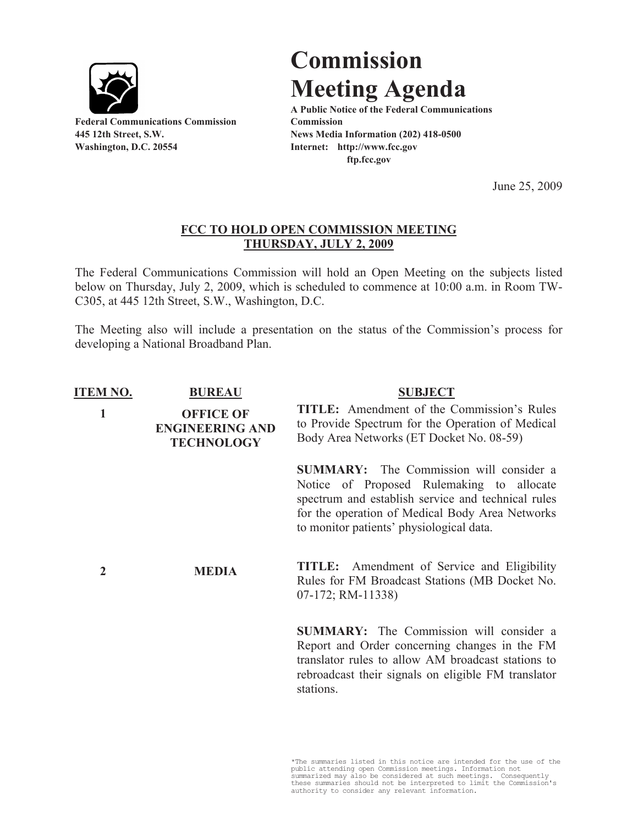

**Federal Communications Commission Commission Washington, D.C. 20554 Internet: http://www.fcc.gov**

## **Commission Meeting Agenda**

**A Public Notice of the Federal Communications 445 12th Street, S.W. News Media Information (202) 418-0500 ftp.fcc.gov**

June 25, 2009

## **FCC TO HOLD OPEN COMMISSION MEETING THURSDAY, JULY 2, 2009**

The Federal Communications Commission will hold an Open Meeting on the subjects listed below on Thursday, July 2, 2009, which is scheduled to commence at 10:00 a.m. in Room TW-C305, at 445 12th Street, S.W., Washington, D.C.

The Meeting also will include a presentation on the status of the Commission's process for developing a National Broadband Plan.

| <b>ITEM NO.</b> | <b>BUREAU</b>                                                   | <b>SUBJECT</b>                                                                                                                                                                                                                                   |
|-----------------|-----------------------------------------------------------------|--------------------------------------------------------------------------------------------------------------------------------------------------------------------------------------------------------------------------------------------------|
| 1               | <b>OFFICE OF</b><br><b>ENGINEERING AND</b><br><b>TECHNOLOGY</b> | <b>TITLE:</b> Amendment of the Commission's Rules<br>to Provide Spectrum for the Operation of Medical<br>Body Area Networks (ET Docket No. 08-59)                                                                                                |
|                 |                                                                 | <b>SUMMARY:</b> The Commission will consider a<br>Notice of Proposed Rulemaking to allocate<br>spectrum and establish service and technical rules<br>for the operation of Medical Body Area Networks<br>to monitor patients' physiological data. |
| 2               | <b>MEDIA</b>                                                    | Amendment of Service and Eligibility<br>TITLE:<br>Rules for FM Broadcast Stations (MB Docket No.<br>$07-172$ ; RM-11338)                                                                                                                         |
|                 |                                                                 | <b>SUMMARY:</b> The Commission will consider a<br>Report and Order concerning changes in the FM<br>translator rules to allow AM broadcast stations to<br>rebroadcast their signals on eligible FM translator<br>stations.                        |

\*The summaries listed in this notice are intended for the use of the public attending open Commission meetings. Information not<br>summarized may also be considered at such meetings. Consequently<br>these summaries should not be interpreted to limit the Commission's<br>authority to consider any rele